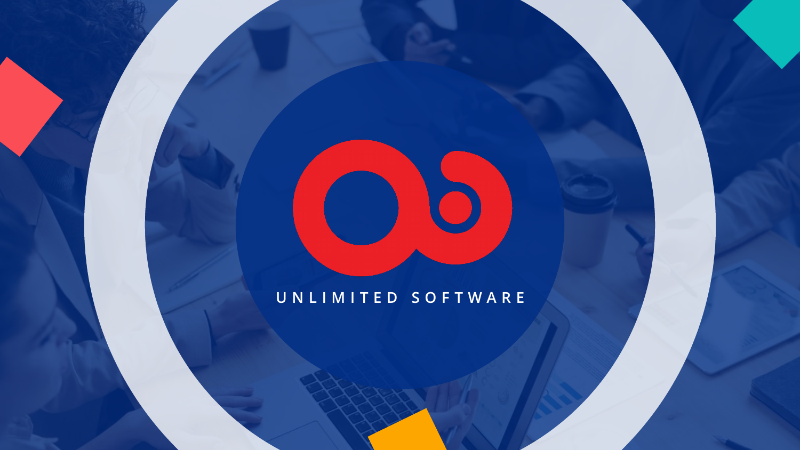### **UNLIMITED SOFTWARE**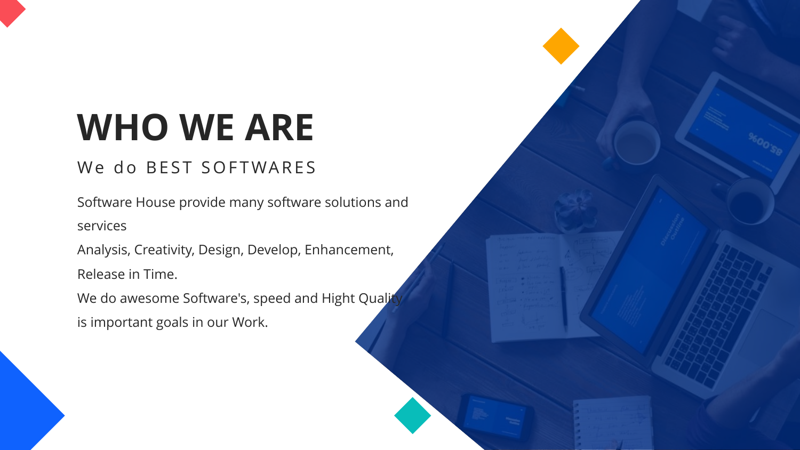# **WHO WE ARE**

### We do BEST SOFTWARES

Software House provide many software solutions and services

Analysis, Creativity, Design, Develop, Enhancement, Release in Time.

We do awesome Software's, speed and Hight Qualit is important goals in our Work.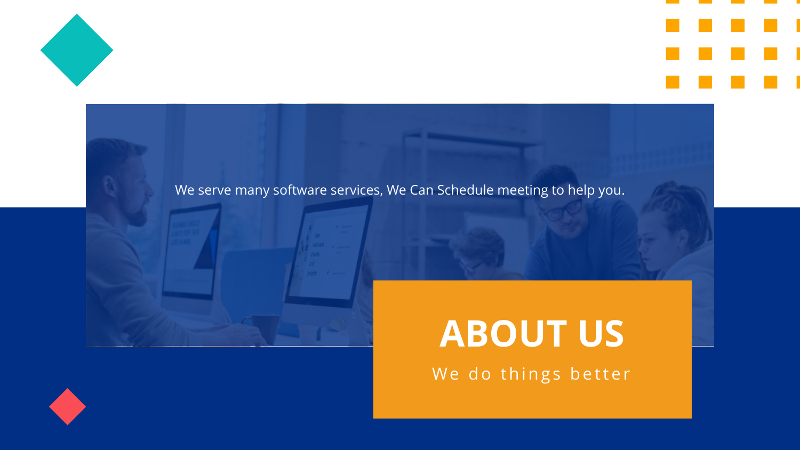



### We serve many software services, We Can Schedule meeting to help you.



## **ABOUT US**

We do things better

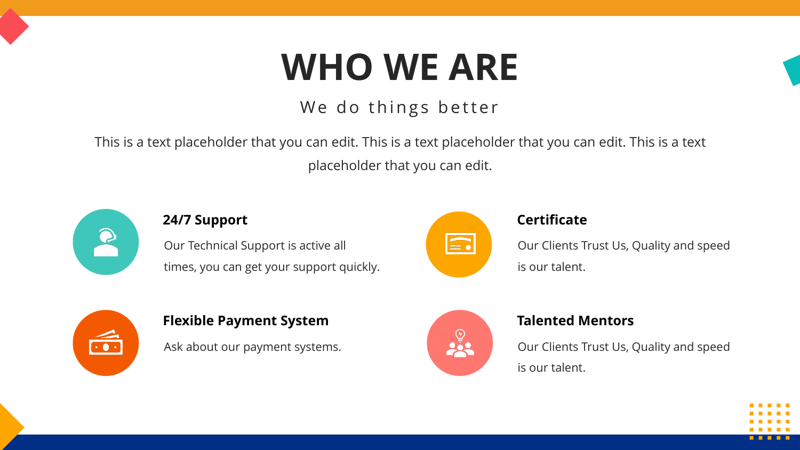# **WHO WE ARE**

### We do things better

This is a text placeholder that you can edit. This is a text placeholder that you can edit. This is a text placeholder that you can edit.



### **24/7 Support Certificate**

Our Technical Support is active all times, you can get your support quickly.



Our Clients Trust Us, Quality and speed is our talent.



Ask about our payment systems.



Our Clients Trust Us, Quality and speed is our talent.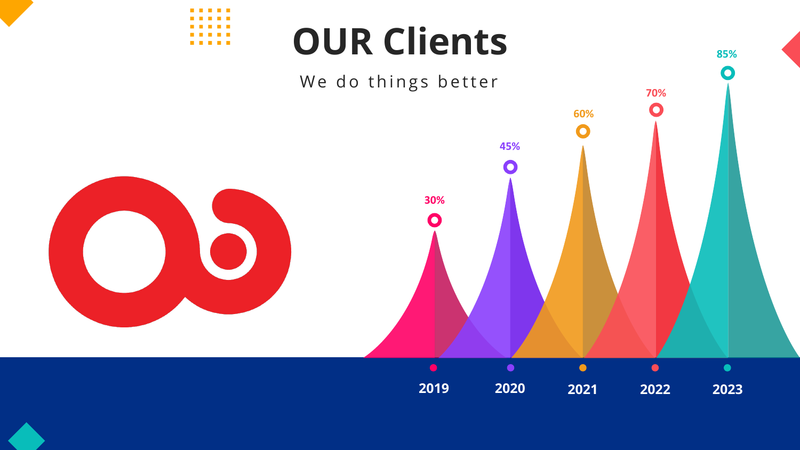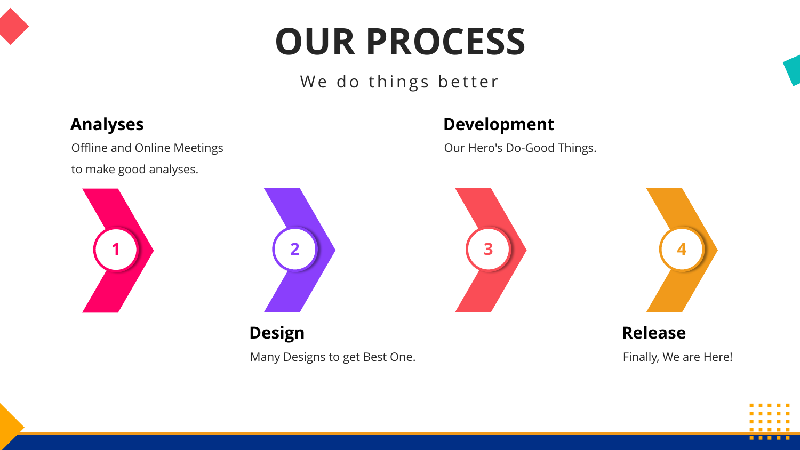# **OUR PROCESS**

### We do things better

### **Analyses**

Offline and Online Meetings to make good analyses.

### **Development**

Our Hero's Do-Good Things.

![](_page_5_Figure_7.jpeg)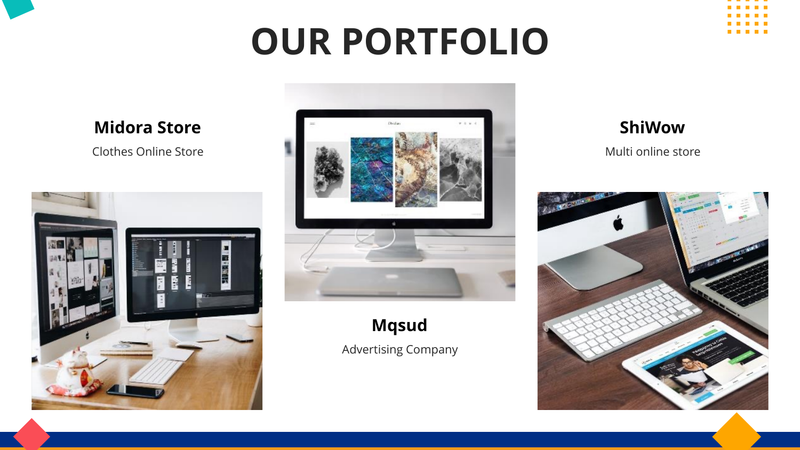# **OUR PORTFOLIO**

**Midora Store**

Clothes Online Store

![](_page_6_Picture_3.jpeg)

![](_page_6_Picture_4.jpeg)

**Mqsud**

Advertising Company

### **ShiWow**

Multi online store

![](_page_6_Picture_9.jpeg)